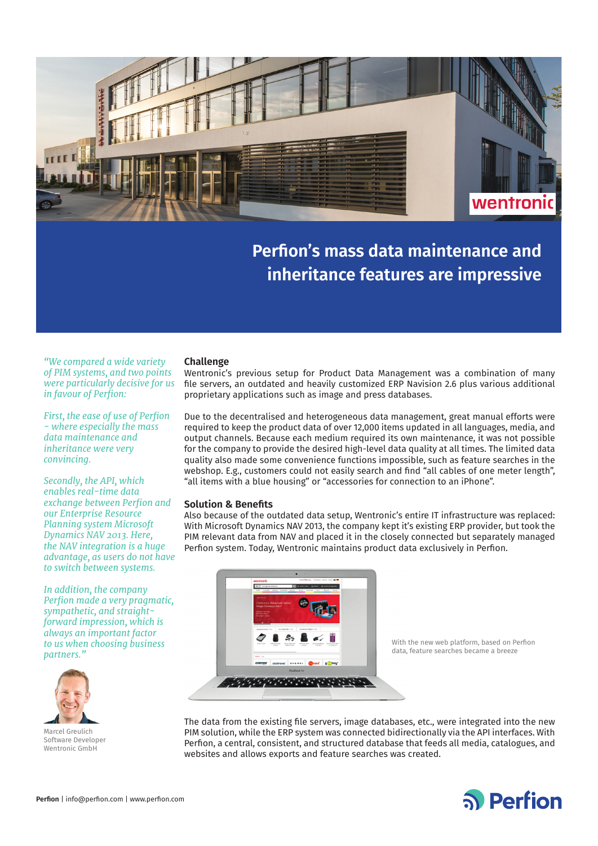

# **Perfion's mass data maintenance and inheritance features are impressive**

*"We compared a wide variety of PIM systems, and two points were particularly decisive for us in favour of Perfion:*

*First, the ease of use of Perfion - where especially the mass data maintenance and inheritance were very convincing.* 

*Secondly, the API, which enables real-time data exchange between Perfion and our Enterprise Resource Planning system Microsoft Dynamics NAV 2013. Here, the NAV integration is a huge advantage, as users do not have to switch between systems.*

*In addition, the company Perfion made a very pragmatic, sympathetic, and straightforward impression, which is always an important factor to us when choosing business partners."*



Marcel Greulich Software Developer Wentronic GmbH

## **Challenge**

Wentronic's previous setup for Product Data Management was a combination of many file servers, an outdated and heavily customized ERP Navision 2.6 plus various additional proprietary applications such as image and press databases.

Due to the decentralised and heterogeneous data management, great manual efforts were required to keep the product data of over 12,000 items updated in all languages, media, and output channels. Because each medium required its own maintenance, it was not possible for the company to provide the desired high-level data quality at all times. The limited data quality also made some convenience functions impossible, such as feature searches in the webshop. E.g., customers could not easily search and find "all cables of one meter length", "all items with a blue housing" or "accessories for connection to an iPhone".

#### **Solution & Benefits**

Also because of the outdated data setup, Wentronic's entire IT infrastructure was replaced: With Microsoft Dynamics NAV 2013, the company kept it's existing ERP provider, but took the PIM relevant data from NAV and placed it in the closely connected but separately managed Perfion system. Today, Wentronic maintains product data exclusively in Perfion.



With the new web platform, based on Perfion data, feature searches became a breeze

The data from the existing file servers, image databases, etc., were integrated into the new PIM solution, while the ERP system was connected bidirectionally via the API interfaces. With Perfion, a central, consistent, and structured database that feeds all media, catalogues, and websites and allows exports and feature searches was created.